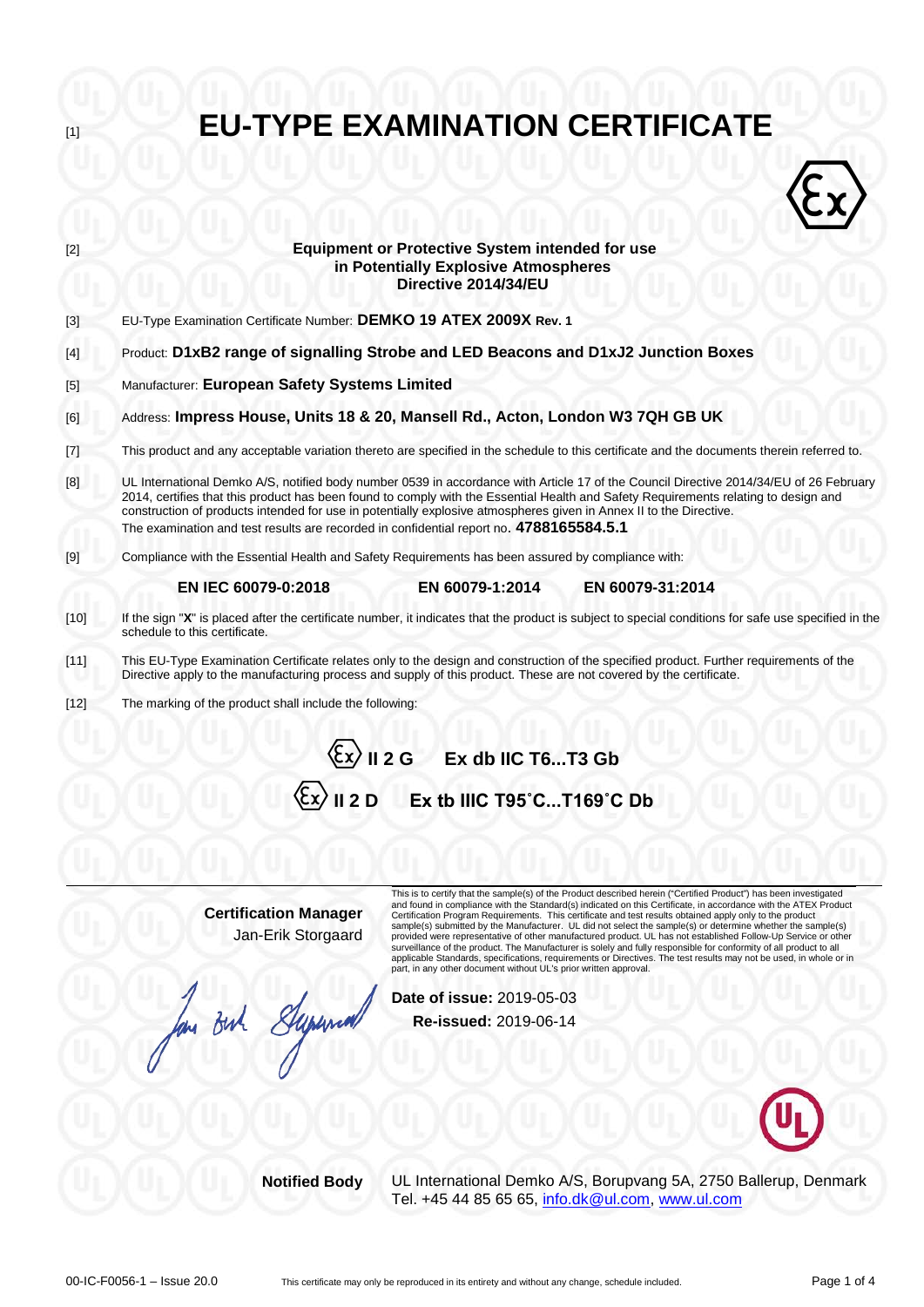**Equipment or Protective System intended for use**  $\langle \hat{\epsilon} \rangle$ **in Potentially Explosive Atmospheres Directive 2014/34/EU** [3] EU-Type Examination Certificate Number: **DEMKO 19 ATEX 2009X Rev. 1**  [4] Product: **D1xB2 range of signalling Strobe and LED Beacons and D1xJ2 Junction Boxes** [5] Manufacturer: **European Safety Systems Limited** [6] Address: **Impress House, Units 18 & 20, Mansell Rd., Acton, London W3 7QH GB UK** [7] This product and any acceptable variation thereto are specified in the schedule to this certificate and the documents therein referred to.  $[8]$ UL International Demko A/S, notified body number 0539 in accordance with Article 17 of the Council Directive 2014/34/EU of 26 February 2014, certifies that this product has been found to comply with the Essential Health and Safety Requirements relating to design and construction of products intended for use in potentially explosive atmospheres given in Annex II to the Directive. The examination and test results are recorded in confidential report no. **4788165584.5.1** [9] Compliance with the Essential Health and Safety Requirements has been assured by compliance with: **EN IEC 60079-0:2018 EN 60079-1:2014 EN 60079-31:2014** [10] If the sign "**X**" is placed after the certificate number, it indicates that the product is subject to special conditions for safe use specified in the schedule to this certificate. [11] This EU-Type Examination Certificate relates only to the design and construction of the specified product. Further requirements of the Directive apply to the manufacturing process and supply of this product. These are not covered by the certificate. [12] The marking of the product shall include the following: **II 2 G Ex db IIC T6...T3 Gb II 2 D Ex tb IIIC T95˚C...T169˚C Db**

**EU-TYPE EXAMINATION CERTIFICATE** 

**Certification Manager** Jan-Erik Storgaard

lan Buch

This is to certify that the sample(s) of the Product described herein ("Certified Product") has been investigated and found in compliance with the Standard(s) indicated on this Certificate, in accordance with the ATEX Product Certification Program Requirements. This certificate and test results obtained apply only to the product sample(s) submitted by the Manufacturer. UL did not select the sample(s) or determine whether the sample(s) provided were representative of other manufactured product. UL has not established Follow-Up Service or other surveillance of the product. The Manufacturer is solely and fully responsible for conformity of all product to all<br>applicable Standards, specifications, requirements or Directives. The test results may not be used, in whol

**Date of issue:** 2019-05-03 **Re-issued:** 2019-06-14



**Notified Body** UL International Demko A/S, Borupvang 5A, 2750 Ballerup, Denmark Tel. +45 44 85 65 65, [info.dk@ul.com,](mailto:info.dk@ul.com) [www.ul.com](http://www.ul.com/)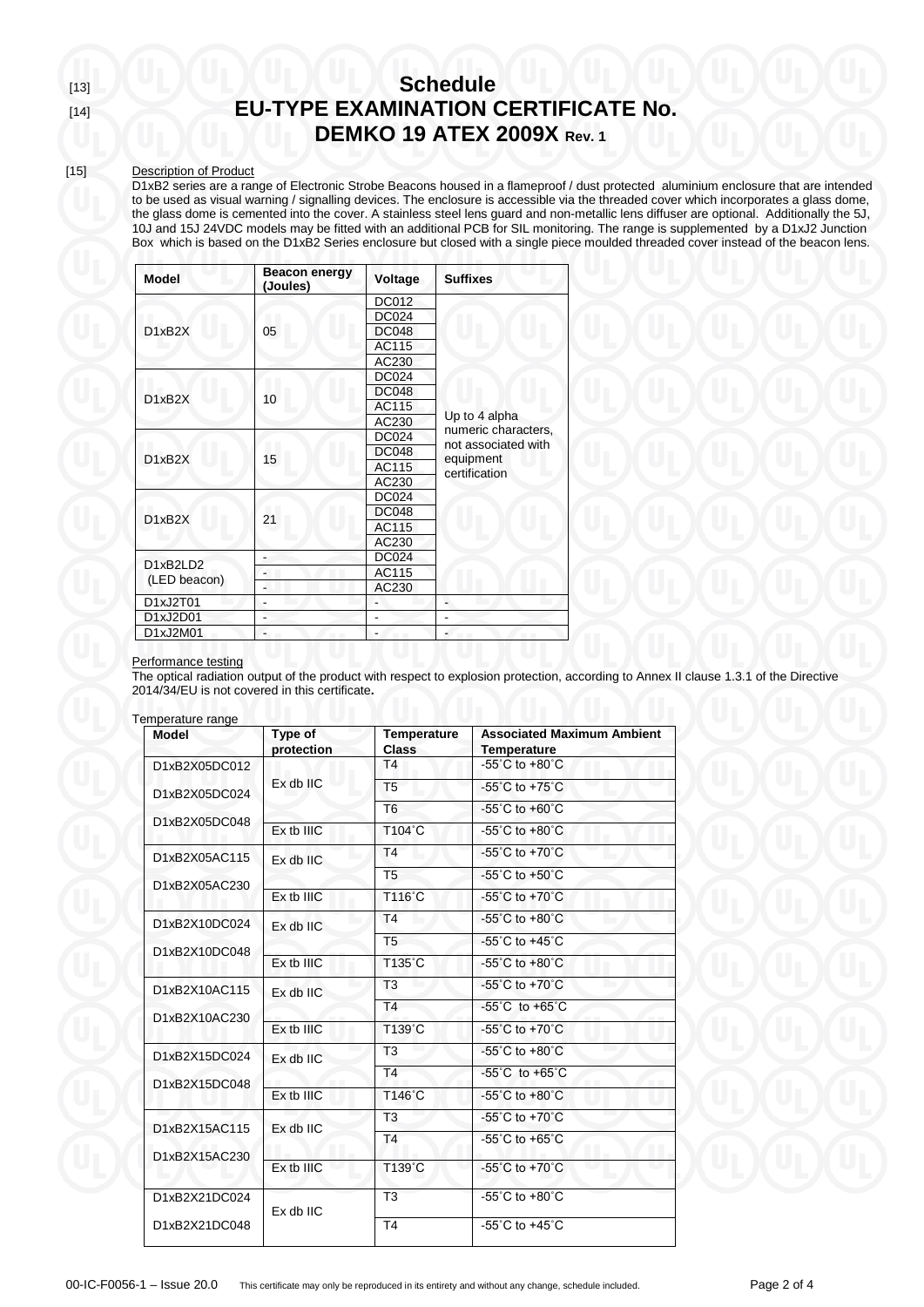## [13] **Schedule** [14] **EU-TYPE EXAMINATION CERTIFICATE No. DEMKO 19 ATEX 2009X Rev. 1**

### [15] Description of Product

D1xB2 series are a range of Electronic Strobe Beacons housed in a flameproof / dust protected aluminium enclosure that are intended to be used as visual warning / signalling devices. The enclosure is accessible via the threaded cover which incorporates a glass dome, the glass dome is cemented into the cover. A stainless steel lens guard and non-metallic lens diffuser are optional. Additionally the 5J, 10J and 15J 24VDC models may be fitted with an additional PCB for SIL monitoring. The range is supplemented by a D1xJ2 Junction Box which is based on the D1xB2 Series enclosure but closed with a single piece moulded threaded cover instead of the beacon lens.

| <b>Model</b>             | <b>Beacon energy</b><br>(Joules) | Voltage      | <b>Suffixes</b>                            |  |
|--------------------------|----------------------------------|--------------|--------------------------------------------|--|
| D1xB2X                   |                                  | DC012        |                                            |  |
|                          |                                  | <b>DC024</b> |                                            |  |
|                          | 05                               | <b>DC048</b> |                                            |  |
|                          |                                  | AC115        |                                            |  |
|                          |                                  | AC230        |                                            |  |
| D1xB2X                   |                                  | <b>DC024</b> |                                            |  |
|                          | 10                               | <b>DC048</b> |                                            |  |
|                          |                                  | AC115        |                                            |  |
|                          |                                  | AC230        | Up to 4 alpha                              |  |
|                          |                                  | DC024        | numeric characters,<br>not associated with |  |
| D1xB2X                   | 15                               | <b>DC048</b> | equipment                                  |  |
|                          |                                  | AC115        | certification                              |  |
|                          |                                  | AC230        |                                            |  |
|                          |                                  | DC024        |                                            |  |
| D1xB2X                   |                                  | <b>DC048</b> |                                            |  |
|                          | 21                               | AC115        |                                            |  |
|                          |                                  | AC230        |                                            |  |
| D1xB2LD2<br>(LED beacon) |                                  | <b>DC024</b> |                                            |  |
|                          |                                  | AC115        |                                            |  |
|                          |                                  | AC230        |                                            |  |
| D1xJ2T01                 |                                  |              |                                            |  |
| D1xJ2D01                 |                                  |              |                                            |  |
| D1xJ2M01                 |                                  |              |                                            |  |

#### Performance testing

The optical radiation output of the product with respect to explosion protection, according to Annex II clause 1.3.1 of the Directive 2014/34/EU is not covered in this certificate**.**

| <b>Model</b>                   | Type of<br>protection | <b>Temperature</b><br><b>Class</b> | <b>Associated Maximum Ambient</b><br><b>Temperature</b> |
|--------------------------------|-----------------------|------------------------------------|---------------------------------------------------------|
| D1xB2X05DC012                  |                       | T4                                 | -55 $^{\circ}$ C to +80 $^{\circ}$ C                    |
| D1xB2X05DC024                  | $Ex$ db $IC$          | T <sub>5</sub>                     | $-55^{\circ}$ C to $+75^{\circ}$ C                      |
|                                |                       | T <sub>6</sub>                     | $-55^{\circ}$ C to $+60^{\circ}$ C                      |
| D1xB2X05DC048                  | Fx th IIIC            | T104°C                             | $-55^{\circ}$ C to $+80^{\circ}$ C                      |
| D1xB2X05AC115                  | $Ex$ db $IC$          | <b>T4</b>                          | -55 $^{\circ}$ C to +70 $^{\circ}$ C                    |
| D1xB2X05AC230                  |                       | T <sub>5</sub>                     | -55 $^{\circ}$ C to +50 $^{\circ}$ C                    |
|                                | Ex tb IIIC            | T116°C                             | -55 $^{\circ}$ C to +70 $^{\circ}$ C                    |
| D1xB2X10DC024<br>D1xB2X10DC048 | $Ex$ db $IC$          | T <sub>4</sub>                     | $-55^{\circ}$ C to $+80^{\circ}$ C                      |
|                                |                       | T <sub>5</sub>                     | -55 $^{\circ}$ C to +45 $^{\circ}$ C                    |
|                                | Ex tb IIIC            | T135°C                             | $-55^{\circ}$ C to $+80^{\circ}$ C                      |
| D1xB2X10AC115<br>D1xB2X10AC230 | $Ex$ db $IC$          | T <sub>3</sub>                     | -55 $^{\circ}$ C to +70 $^{\circ}$ C                    |
|                                |                       | T <sub>4</sub>                     | $-55^{\circ}$ C to $+65^{\circ}$ C                      |
|                                | Ex tb IIIC            | T139°C                             | -55 $^{\circ}$ C to +70 $^{\circ}$ C                    |
| D1xB2X15DC024                  | $Ex$ db $IC$          | T <sub>3</sub>                     | -55 $^{\circ}$ C to +80 $^{\circ}$ C                    |
| D1xB2X15DC048                  |                       | T <sub>4</sub>                     | $-55^{\circ}$ C to $+65^{\circ}$ C                      |
|                                | Ex tb IIIC            | T146°C                             | -55 $^{\circ}$ C to +80 $^{\circ}$ C                    |
| D1xB2X15AC115<br>D1xB2X15AC230 | Ex db IIC             | T <sub>3</sub>                     | $-55^{\circ}$ C to $+70^{\circ}$ C                      |
|                                |                       | T4                                 | $-55^{\circ}$ C to $+65^{\circ}$ C                      |
|                                | Ex tb IIIC            | T139°C                             | -55 $^{\circ}$ C to +70 $^{\circ}$ C                    |
| D1xB2X21DC024                  | Ex db IIC             | T <sub>3</sub>                     | -55 $^{\circ}$ C to +80 $^{\circ}$ C                    |
| D1xB2X21DC048                  |                       | T4                                 | -55 $^{\circ}$ C to +45 $^{\circ}$ C                    |

Te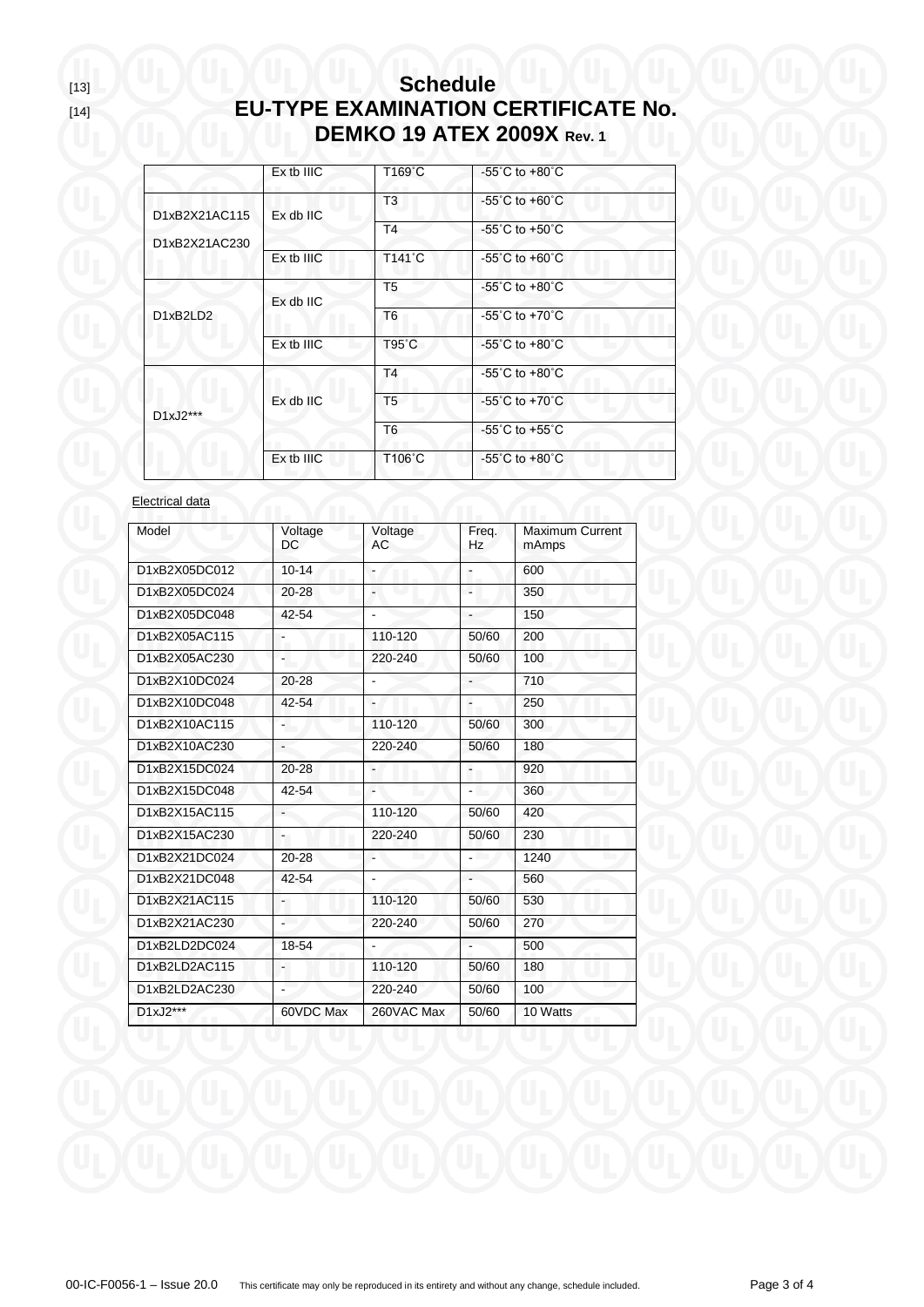# [13] **Schedule** [14] **EU-TYPE EXAMINATION CERTIFICATE No. DEMKO 19 ATEX 2009X Rev. 1**

|                                | $Ex$ tb $IIIC$ | T169°C          | $-55^{\circ}$ C to $+80^{\circ}$ C |
|--------------------------------|----------------|-----------------|------------------------------------|
| D1xB2X21AC115<br>D1xB2X21AC230 | $Ex$ db $IC$   | T <sub>3</sub>  | $-55^{\circ}$ C to $+60^{\circ}$ C |
|                                |                | T <sub>4</sub>  | $-55^{\circ}$ C to $+50^{\circ}$ C |
|                                | $Ex$ tb $IIIC$ | T141°C          | $-55^{\circ}$ C to $+60^{\circ}$ C |
|                                | $Ex$ db $IC$   | T <sub>5</sub>  | $-55^{\circ}$ C to $+80^{\circ}$ C |
| D1xB2LD2                       |                | T <sub>6</sub>  | $-55^{\circ}$ C to $+70^{\circ}$ C |
|                                | $Ex$ tb $IIIC$ | $T95^{\circ}$ C | $-55^{\circ}$ C to $+80^{\circ}$ C |
|                                |                | T <sub>4</sub>  | $-55^{\circ}$ C to $+80^{\circ}$ C |
| D1xJ2***                       | $Ex$ db $IC$   | T <sub>5</sub>  | $-55^{\circ}$ C to $+70^{\circ}$ C |
|                                |                | T <sub>6</sub>  | $-55^{\circ}$ C to $+55^{\circ}$ C |
|                                | $Ex$ tb $IIIC$ | T106°C          | $-55^{\circ}$ C to $+80^{\circ}$ C |

### Electrical data

| Model         | Voltage<br>DC            | Voltage<br>AC            | Freq.<br>Hz              | Maximum Current<br>mAmps |
|---------------|--------------------------|--------------------------|--------------------------|--------------------------|
| D1xB2X05DC012 | $10 - 14$                |                          | $\blacksquare$           | 600                      |
| D1xB2X05DC024 | 20-28                    |                          |                          | 350                      |
| D1xB2X05DC048 | 42-54                    |                          |                          | 150                      |
| D1xB2X05AC115 | $\overline{\phantom{a}}$ | 110-120                  | 50/60                    | 200                      |
| D1xB2X05AC230 | L.                       | 220-240                  | 50/60                    | 100                      |
| D1xB2X10DC024 | 20-28                    |                          |                          | 710                      |
| D1xB2X10DC048 | 42-54                    | L.                       | $\overline{\phantom{a}}$ | 250                      |
| D1xB2X10AC115 | ۳                        | 110-120                  | 50/60                    | 300                      |
| D1xB2X10AC230 | ÷,                       | 220-240                  | 50/60                    | 180                      |
| D1xB2X15DC024 | 20-28                    | $\overline{\phantom{a}}$ | $\blacksquare$           | 920                      |
| D1xB2X15DC048 | 42-54                    |                          |                          | 360                      |
| D1xB2X15AC115 |                          | 110-120                  | 50/60                    | 420                      |
| D1xB2X15AC230 | $\blacksquare$           | 220-240                  | 50/60                    | 230                      |
| D1xB2X21DC024 | 20-28                    |                          |                          | 1240                     |
| D1xB2X21DC048 | 42-54                    |                          |                          | 560                      |
| D1xB2X21AC115 | $\blacksquare$           | 110-120                  | 50/60                    | 530                      |
| D1xB2X21AC230 | $\blacksquare$           | 220-240                  | 50/60                    | 270                      |
| D1xB2LD2DC024 | 18-54                    |                          |                          | 500                      |
| D1xB2LD2AC115 | ÷.                       | 110-120                  | 50/60                    | 180                      |
| D1xB2LD2AC230 |                          | 220-240                  | 50/60                    | 100                      |
| $D1xJ2***$    | 60VDC Max                | 260VAC Max               | 50/60                    | 10 Watts                 |